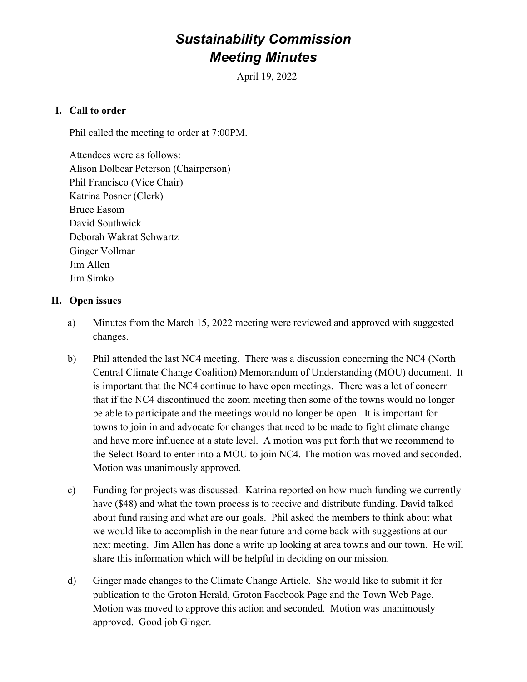# Sustainability Commission Meeting Minutes

April 19, 2022

### I. Call to order

Phil called the meeting to order at 7:00PM.

Attendees were as follows: Alison Dolbear Peterson (Chairperson) Phil Francisco (Vice Chair) Katrina Posner (Clerk) Bruce Easom David Southwick Deborah Wakrat Schwartz Ginger Vollmar Jim Allen Jim Simko

#### II. Open issues

- a) Minutes from the March 15, 2022 meeting were reviewed and approved with suggested changes.
- b) Phil attended the last NC4 meeting. There was a discussion concerning the NC4 (North Central Climate Change Coalition) Memorandum of Understanding (MOU) document. It is important that the NC4 continue to have open meetings. There was a lot of concern that if the NC4 discontinued the zoom meeting then some of the towns would no longer be able to participate and the meetings would no longer be open. It is important for towns to join in and advocate for changes that need to be made to fight climate change and have more influence at a state level. A motion was put forth that we recommend to the Select Board to enter into a MOU to join NC4. The motion was moved and seconded. Motion was unanimously approved.
- c) Funding for projects was discussed. Katrina reported on how much funding we currently have (\$48) and what the town process is to receive and distribute funding. David talked about fund raising and what are our goals. Phil asked the members to think about what we would like to accomplish in the near future and come back with suggestions at our next meeting. Jim Allen has done a write up looking at area towns and our town. He will share this information which will be helpful in deciding on our mission.
- d) Ginger made changes to the Climate Change Article. She would like to submit it for publication to the Groton Herald, Groton Facebook Page and the Town Web Page. Motion was moved to approve this action and seconded. Motion was unanimously approved. Good job Ginger.